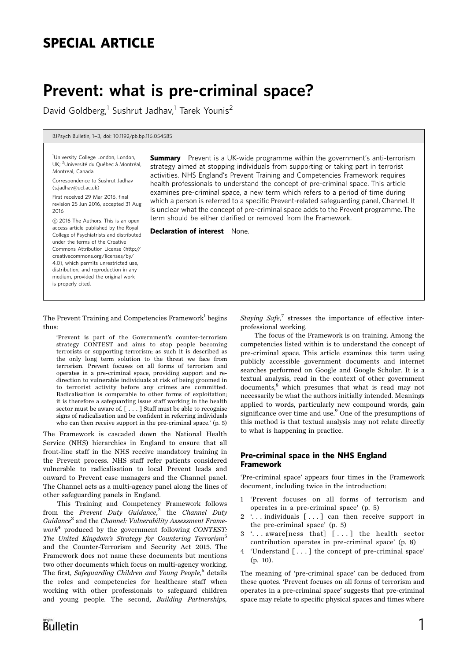# SPECIAL ARTICLE

# Prevent: what is pre-criminal space?

David Goldberg,<sup>1</sup> Sushrut Jadhav,<sup>1</sup> Tarek Younis<sup>2</sup>

BJPsych Bulletin, 1-3, doi: 10.1192/pb.bp.116.054585

<sup>1</sup>University College London, London, UK; <sup>2</sup>Université du Québec à Montréal, Montreal, Canada

Correspondence to Sushrut Jadhav (s.jadhav@ucl.ac.uk)

First received 29 Mar 2016, final revision 25 Jun 2016, accepted 31 Aug 2016

*B* 2016 The Authors. This is an openaccess article published by the Royal College of Psychiatrists and distributed under the terms of the Creative Commons Attribution License (http:// creativecommons.org/licenses/by/ 4.0), which permits unrestricted use, distribution, and reproduction in any medium, provided the original work is properly cited.

**Summary** Prevent is a UK-wide programme within the government's anti-terrorism strategy aimed at stopping individuals from supporting or taking part in terrorist activities. NHS England's Prevent Training and Competencies Framework requires health professionals to understand the concept of pre-criminal space. This article examines pre-criminal space, a new term which refers to a period of time during which a person is referred to a specific Prevent-related safeguarding panel, Channel. It is unclear what the concept of pre-criminal space adds to the Prevent programme. The term should be either clarified or removed from the Framework.

Declaration of interest None.

### The Prevent Training and Competencies Framework<sup>1</sup> begins thus:

'Prevent is part of the Government's counter-terrorism strategy CONTEST and aims to stop people becoming terrorists or supporting terrorism; as such it is described as the only long term solution to the threat we face from terrorism. Prevent focuses on all forms of terrorism and operates in a pre-criminal space, providing support and redirection to vulnerable individuals at risk of being groomed in to terrorist activity before any crimes are committed. Radicalisation is comparable to other forms of exploitation; it is therefore a safeguarding issue staff working in the health sector must be aware of. [ . . . ] Staff must be able to recognise signs of radicalisation and be confident in referring individuals who can then receive support in the pre-criminal space.' (p. 5)

The Framework is cascaded down the National Health Service (NHS) hierarchies in England to ensure that all front-line staff in the NHS receive mandatory training in the Prevent process. NHS staff refer patients considered vulnerable to radicalisation to local Prevent leads and onward to Prevent case managers and the Channel panel. The Channel acts as a multi-agency panel along the lines of other safeguarding panels in England.

This Training and Competency Framework follows from the Prevent Duty Guidance,<sup>2</sup> the Channel Duty Guidance<sup>3</sup> and the Channel: Vulnerability Assessment Frame $work<sup>4</sup>$  produced by the government following CONTEST: The United Kingdom's Strategy for Countering Terrorism<sup>5</sup> and the Counter-Terrorism and Security Act 2015. The Framework does not name these documents but mentions two other documents which focus on multi-agency working. The first, Safeguarding Children and Young People,<sup>6</sup> details the roles and competencies for healthcare staff when working with other professionals to safeguard children and young people. The second, Building Partnerships,

Staying Safe,<sup>7</sup> stresses the importance of effective interprofessional working.

The focus of the Framework is on training. Among the competencies listed within is to understand the concept of pre-criminal space. This article examines this term using publicly accessible government documents and internet searches performed on Google and Google Scholar. It is a textual analysis, read in the context of other government documents,<sup>8</sup> which presumes that what is read may not necessarily be what the authors initially intended. Meanings applied to words, particularly new compound words, gain significance over time and use.<sup>9</sup> One of the presumptions of this method is that textual analysis may not relate directly to what is happening in practice.

### Pre-criminal space in the NHS England Framework

'Pre-criminal space' appears four times in the Framework document, including twice in the introduction:

- 1 'Prevent focuses on all forms of terrorism and operates in a pre-criminal space' (p. 5)
- 2 '. . . individuals [ . . . ] can then receive support in the pre-criminal space' (p. 5)
- 3 '. . . aware[ness that] [ . . . ] the health sector contribution operates in pre-criminal space' (p. 8)
- 4 'Understand [ . . . ] the concept of pre-criminal space' (p. 10).

The meaning of 'pre-criminal space' can be deduced from these quotes. 'Prevent focuses on all forms of terrorism and operates in a pre-criminal space' suggests that pre-criminal space may relate to specific physical spaces and times where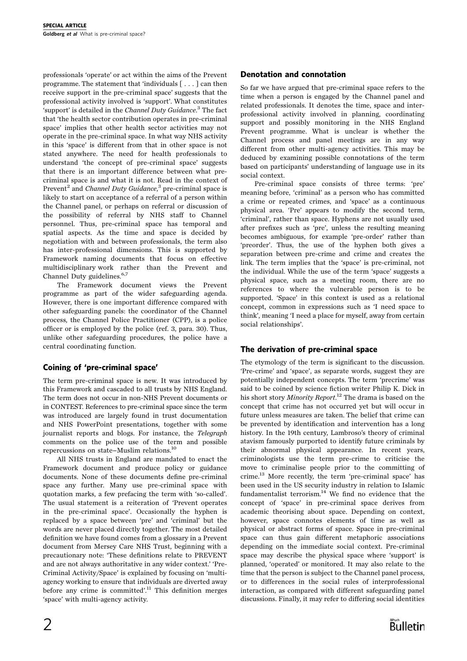professionals 'operate' or act within the aims of the Prevent programme. The statement that 'individuals [ . . . ] can then receive support in the pre-criminal space' suggests that the professional activity involved is 'support'. What constitutes 'support' is detailed in the Channel Duty Guidance.<sup>3</sup> The fact that 'the health sector contribution operates in pre-criminal space' implies that other health sector activities may not operate in the pre-criminal space. In what way NHS activity in this 'space' is different from that in other space is not stated anywhere. The need for health professionals to understand 'the concept of pre-criminal space' suggests that there is an important difference between what precriminal space is and what it is not. Read in the context of Prevent<sup>2</sup> and *Channel Duty Guidance*,<sup>3</sup> pre-criminal space is likely to start on acceptance of a referral of a person within the Channel panel, or perhaps on referral or discussion of the possibility of referral by NHS staff to Channel personnel. Thus, pre-criminal space has temporal and spatial aspects. As the time and space is decided by negotiation with and between professionals, the term also has inter-professional dimensions. This is supported by Framework naming documents that focus on effective multidisciplinary work rather than the Prevent and Channel Duty guidelines.<sup>6,7</sup>

The Framework document views the Prevent programme as part of the wider safeguarding agenda. However, there is one important difference compared with other safeguarding panels: the coordinator of the Channel process, the Channel Police Practitioner (CPP), is a police officer or is employed by the police (ref. 3, para. 30). Thus, unlike other safeguarding procedures, the police have a central coordinating function.

### Coining of 'pre-criminal space'

The term pre-criminal space is new. It was introduced by this Framework and cascaded to all trusts by NHS England. The term does not occur in non-NHS Prevent documents or in CONTEST. References to pre-criminal space since the term was introduced are largely found in trust documentation and NHS PowerPoint presentations, together with some journalist reports and blogs. For instance, the Telegraph comments on the police use of the term and possible repercussions on state-Muslim relations.10

All NHS trusts in England are mandated to enact the Framework document and produce policy or guidance documents. None of these documents define pre-criminal space any further. Many use pre-criminal space with quotation marks, a few prefacing the term with 'so-called'. The usual statement is a reiteration of 'Prevent operates in the pre-criminal space'. Occasionally the hyphen is replaced by a space between 'pre' and 'criminal' but the words are never placed directly together. The most detailed definition we have found comes from a glossary in a Prevent document from Mersey Care NHS Trust, beginning with a precautionary note: 'These definitions relate to PREVENT and are not always authoritative in any wider context.' 'Pre-Criminal Activity/Space' is explained by focusing on 'multiagency working to ensure that individuals are diverted away before any crime is committed'.<sup>11</sup> This definition merges 'space' with multi-agency activity.

So far we have argued that pre-criminal space refers to the time when a person is engaged by the Channel panel and related professionals. It denotes the time, space and interprofessional activity involved in planning, coordinating support and possibly monitoring in the NHS England Prevent programme. What is unclear is whether the Channel process and panel meetings are in any way different from other multi-agency activities. This may be deduced by examining possible connotations of the term based on participants' understanding of language use in its social context.

Pre-criminal space consists of three terms: 'pre' meaning before, 'criminal' as a person who has committed a crime or repeated crimes, and 'space' as a continuous physical area. 'Pre' appears to modify the second term, 'criminal', rather than space. Hyphens are not usually used after prefixes such as 'pre', unless the resulting meaning becomes ambiguous, for example 'pre-order' rather than 'preorder'. Thus, the use of the hyphen both gives a separation between pre-crime and crime and creates the link. The term implies that the 'space' is pre-criminal, not the individual. While the use of the term 'space' suggests a physical space, such as a meeting room, there are no references to where the vulnerable person is to be supported. 'Space' in this context is used as a relational concept, common in expressions such as 'I need space to think', meaning 'I need a place for myself, away from certain social relationships'.

### The derivation of pre-criminal space

The etymology of the term is significant to the discussion. 'Pre-crime' and 'space', as separate words, suggest they are potentially independent concepts. The term 'precrime' was said to be coined by science fiction writer Philip K. Dick in his short story *Minority Report.*<sup>12</sup> The drama is based on the concept that crime has not occurred yet but will occur in future unless measures are taken. The belief that crime can be prevented by identification and intervention has a long history. In the 19th century, Lambroso's theory of criminal atavism famously purported to identify future criminals by their abnormal physical appearance. In recent years, criminologists use the term pre-crime to criticise the move to criminalise people prior to the committing of crime.<sup>13</sup> More recently, the term 'pre-criminal space' has been used in the US security industry in relation to Islamic fundamentalist terrorism. $14$  We find no evidence that the concept of 'space' in pre-criminal space derives from academic theorising about space. Depending on context, however, space connotes elements of time as well as physical or abstract forms of space. Space in pre-criminal space can thus gain different metaphoric associations depending on the immediate social context. Pre-criminal space may describe the physical space where 'support' is planned, 'operated' or monitored. It may also relate to the time that the person is subject to the Channel panel process, or to differences in the social rules of interprofessional interaction, as compared with different safeguarding panel discussions. Finally, it may refer to differing social identities

Bulletin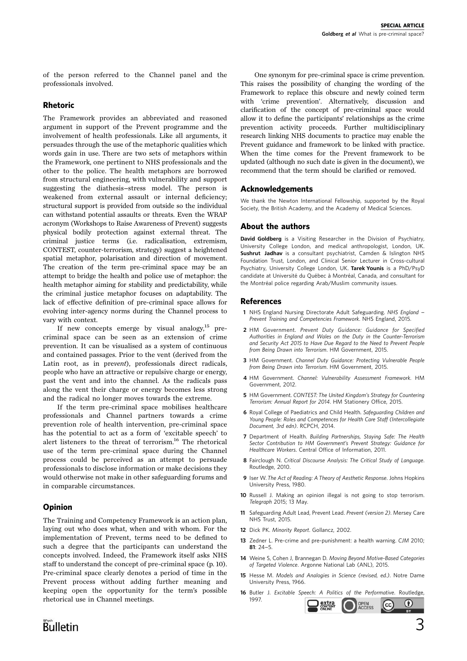of the person referred to the Channel panel and the professionals involved.

### Rhetoric

The Framework provides an abbreviated and reasoned argument in support of the Prevent programme and the involvement of health professionals. Like all arguments, it persuades through the use of the metaphoric qualities which words gain in use. There are two sets of metaphors within the Framework, one pertinent to NHS professionals and the other to the police. The health metaphors are borrowed from structural engineering, with vulnerability and support suggesting the diathesis-stress model. The person is weakened from external assault or internal deficiency; structural support is provided from outside so the individual can withstand potential assaults or threats. Even the WRAP acronym (Workshops to Raise Awareness of Prevent) suggests physical bodily protection against external threat. The criminal justice terms (i.e. radicalisation, extremism, CONTEST, counter-terrorism, strategy) suggest a heightened spatial metaphor, polarisation and direction of movement. The creation of the term pre-criminal space may be an attempt to bridge the health and police use of metaphor: the health metaphor aiming for stability and predictability, while the criminal justice metaphor focuses on adaptability. The lack of effective definition of pre-criminal space allows for evolving inter-agency norms during the Channel process to vary with context.

If new concepts emerge by visual analogy, $^{15}$  precriminal space can be seen as an extension of crime prevention. It can be visualised as a system of continuous and contained passages. Prior to the vent (derived from the Latin root, as in prevent), professionals direct radicals, people who have an attractive or repulsive charge or energy, past the vent and into the channel. As the radicals pass along the vent their charge or energy becomes less strong and the radical no longer moves towards the extreme.

If the term pre-criminal space mobilises healthcare professionals and Channel partners towards a crime prevention role of health intervention, pre-criminal space has the potential to act as a form of 'excitable speech' to alert listeners to the threat of terrorism.<sup>16</sup> The rhetorical use of the term pre-criminal space during the Channel process could be perceived as an attempt to persuade professionals to disclose information or make decisions they would otherwise not make in other safeguarding forums and in comparable circumstances.

### Opinion

The Training and Competency Framework is an action plan, laying out who does what, when and with whom. For the implementation of Prevent, terms need to be defined to such a degree that the participants can understand the concepts involved. Indeed, the Framework itself asks NHS staff to understand the concept of pre-criminal space (p. 10). Pre-criminal space clearly denotes a period of time in the Prevent process without adding further meaning and keeping open the opportunity for the term's possible rhetorical use in Channel meetings.

One synonym for pre-criminal space is crime prevention. This raises the possibility of changing the wording of the Framework to replace this obscure and newly coined term with 'crime prevention'. Alternatively, discussion and clarification of the concept of pre-criminal space would allow it to define the participants' relationships as the crime prevention activity proceeds. Further multidisciplinary research linking NHS documents to practice may enable the Prevent guidance and framework to be linked with practice. When the time comes for the Prevent framework to be updated (although no such date is given in the document), we recommend that the term should be clarified or removed.

### Acknowledgements

We thank the Newton International Fellowship, supported by the Royal Society, the British Academy, and the Academy of Medical Sciences.

### About the authors

David Goldberg is a Visiting Researcher in the Division of Psychiatry, University College London, and medical anthropologist, London, UK. Sushrut Jadhav is a consultant psychiatrist, Camden & Islington NHS Foundation Trust, London, and Clinical Senior Lecturer in Cross-cultural Psychiatry, University College London, UK. Tarek Younis is a PhD/PsyD candidate at Université du Québec à Montréal, Canada, and consultant for the Montréal police regarding Arab/Muslim community issues.

### References

- 1 NHS England Nursing Directorate Adult Safeguarding. NHS England -Prevent Training and Competencies Framework. NHS England, 2015.
- 2 HM Government. Prevent Duty Guidance: Guidance for Specified Authorities in England and Wales on the Duty in the Counter-Terrorism and Security Act 2015 to Have Due Regard to the Need to Prevent People from Being Drawn into Terrorism. HM Government, 2015.
- 3 HM Government. Channel Duty Guidance: Protecting Vulnerable People from Being Drawn into Terrorism. HM Government, 2015.
- 4 HM Government. Channel: Vulnerability Assessment Framework. HM Government, 2012.
- 5 HM Government. CONTEST: The United Kingdom's Strategy for Countering Terrorism: Annual Report for 2014. HM Stationery Office, 2015.
- 6 Royal College of Paediatrics and Child Health. Safeguarding Children and Young People: Roles and Competences for Health Care Staff (Intercollegiate Document, 3rd edn). RCPCH, 2014.
- 7 Department of Health. Building Partnerships, Staying Safe: The Health Sector Contribution to HM Government's Prevent Strategy: Guidance for Healthcare Workers. Central Office of Information, 2011.
- 8 Fairclough N. Critical Discourse Analysis: The Critical Study of Language. Routledge, 2010.
- 9 Iser W. The Act of Reading: A Theory of Aesthetic Response. Johns Hopkins University Press, 1980.
- 10 Russell J. Making an opinion illegal is not going to stop terrorism. Telegraph 2015; 13 May.
- 11 Safeguarding Adult Lead, Prevent Lead. Prevent (version 2). Mersey Care NHS Trust, 2015.
- 12 Dick PK. Minority Report. Gollancz, 2002.
- 13 Zedner L. Pre-crime and pre-punishment: a health warning. CJM 2010;  $81:24-5$
- 14 Weine S, Cohen J, Brannegan D. Moving Beyond Motive-Based Categories of Targeted Violence. Argonne National Lab (ANL), 2015.
- 15 Hesse M. Models and Analogies in Science (revised, ed.). Notre Dame University Press, 1966.
- 16 Butler J. Excitable Speech: A Politics of the Performative. Routledge, 1997.  $\bigcirc$ **extra** OPEN<br>ACCESS (cc)